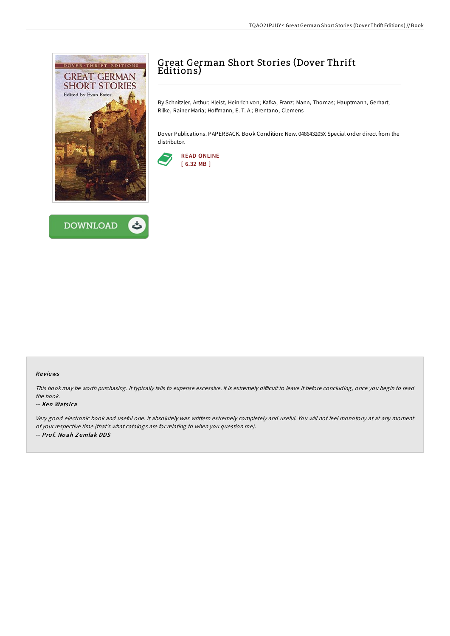



# Great German Short Stories (Dover Thrift Editions)

By Schnitzler, Arthur; Kleist, Heinrich von; Kafka, Franz; Mann, Thomas; Hauptmann, Gerhart; Rilke, Rainer Maria; Hoffmann, E. T. A.; Brentano, Clemens

Dover Publications. PAPERBACK. Book Condition: New. 048643205X Special order direct from the distributor.



## Re views

This book may be worth purchasing. It typically fails to expense excessive. It is extremely difficult to leave it before concluding, once you begin to read the book.

#### -- Ken Watsica

Very good electronic book and useful one. it absolutely was writtern extremely completely and useful. You will not feel monotony at at any moment of your respective time (that's what catalogs are for relating to when you question me). -- Pro f. No ah Z emlak DDS